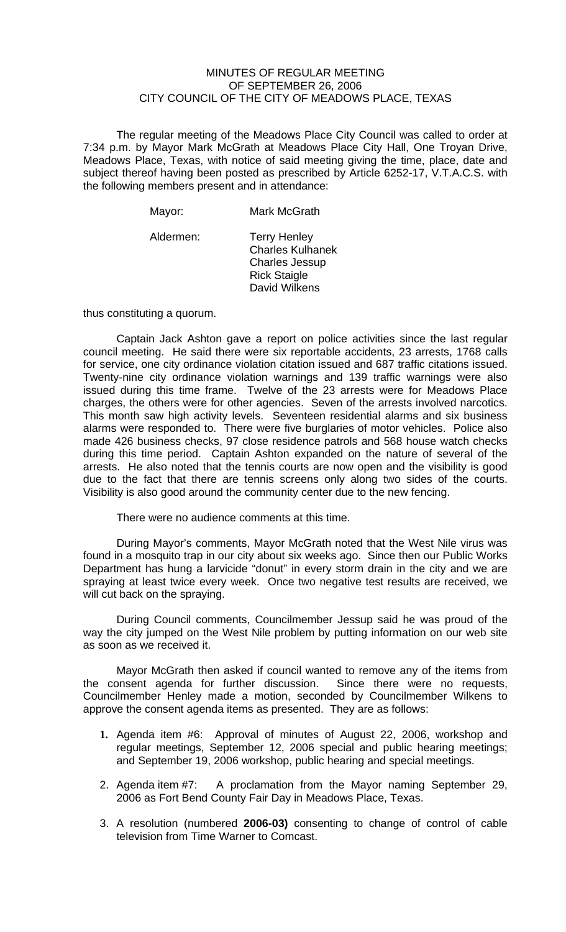### MINUTES OF REGULAR MEETING OF SEPTEMBER 26, 2006 CITY COUNCIL OF THE CITY OF MEADOWS PLACE, TEXAS

The regular meeting of the Meadows Place City Council was called to order at 7:34 p.m. by Mayor Mark McGrath at Meadows Place City Hall, One Troyan Drive, Meadows Place, Texas, with notice of said meeting giving the time, place, date and subject thereof having been posted as prescribed by Article 6252-17, V.T.A.C.S. with the following members present and in attendance:

| Mayor:    | Mark McGrath                                                                                                    |
|-----------|-----------------------------------------------------------------------------------------------------------------|
| Aldermen: | <b>Terry Henley</b><br><b>Charles Kulhanek</b><br><b>Charles Jessup</b><br><b>Rick Staigle</b><br>David Wilkens |

thus constituting a quorum.

Captain Jack Ashton gave a report on police activities since the last regular council meeting. He said there were six reportable accidents, 23 arrests, 1768 calls for service, one city ordinance violation citation issued and 687 traffic citations issued. Twenty-nine city ordinance violation warnings and 139 traffic warnings were also issued during this time frame. Twelve of the 23 arrests were for Meadows Place charges, the others were for other agencies. Seven of the arrests involved narcotics. This month saw high activity levels. Seventeen residential alarms and six business alarms were responded to. There were five burglaries of motor vehicles. Police also made 426 business checks, 97 close residence patrols and 568 house watch checks during this time period. Captain Ashton expanded on the nature of several of the arrests. He also noted that the tennis courts are now open and the visibility is good due to the fact that there are tennis screens only along two sides of the courts. Visibility is also good around the community center due to the new fencing.

There were no audience comments at this time.

During Mayor's comments, Mayor McGrath noted that the West Nile virus was found in a mosquito trap in our city about six weeks ago. Since then our Public Works Department has hung a larvicide "donut" in every storm drain in the city and we are spraying at least twice every week. Once two negative test results are received, we will cut back on the spraying.

During Council comments, Councilmember Jessup said he was proud of the way the city jumped on the West Nile problem by putting information on our web site as soon as we received it.

Mayor McGrath then asked if council wanted to remove any of the items from the consent agenda for further discussion. Since there were no requests, Councilmember Henley made a motion, seconded by Councilmember Wilkens to approve the consent agenda items as presented. They are as follows:

- **1.** Agenda item #6: Approval of minutes of August 22, 2006, workshop and regular meetings, September 12, 2006 special and public hearing meetings; and September 19, 2006 workshop, public hearing and special meetings.
- 2. Agenda item #7: A proclamation from the Mayor naming September 29, 2006 as Fort Bend County Fair Day in Meadows Place, Texas.
- 3. A resolution (numbered **2006-03)** consenting to change of control of cable television from Time Warner to Comcast.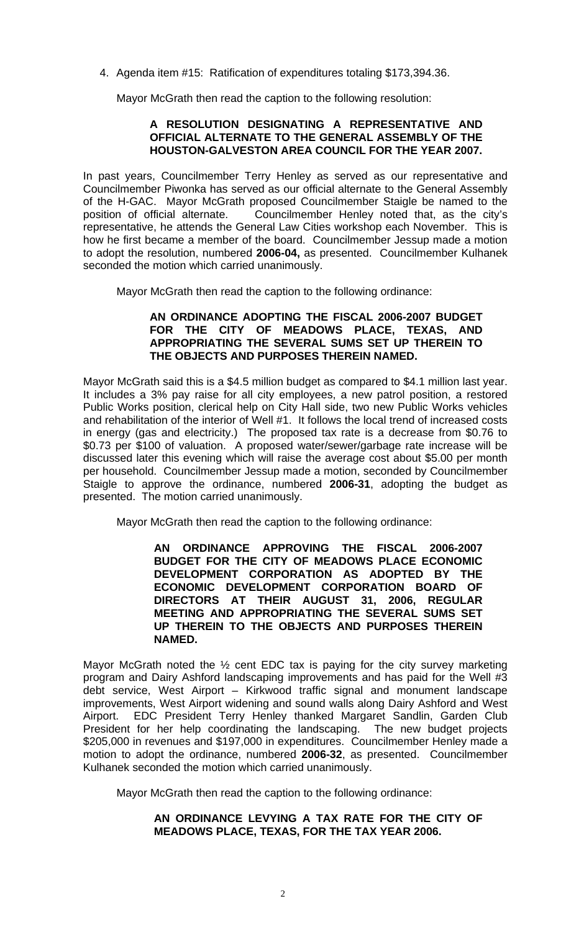4. Agenda item #15: Ratification of expenditures totaling \$173,394.36.

Mayor McGrath then read the caption to the following resolution:

# **A RESOLUTION DESIGNATING A REPRESENTATIVE AND OFFICIAL ALTERNATE TO THE GENERAL ASSEMBLY OF THE HOUSTON-GALVESTON AREA COUNCIL FOR THE YEAR 2007.**

In past years, Councilmember Terry Henley as served as our representative and Councilmember Piwonka has served as our official alternate to the General Assembly of the H-GAC. Mayor McGrath proposed Councilmember Staigle be named to the position of official alternate. Councilmember Henley noted that, as the city's representative, he attends the General Law Cities workshop each November. This is how he first became a member of the board. Councilmember Jessup made a motion to adopt the resolution, numbered **2006-04,** as presented. Councilmember Kulhanek seconded the motion which carried unanimously.

Mayor McGrath then read the caption to the following ordinance:

### **AN ORDINANCE ADOPTING THE FISCAL 2006-2007 BUDGET FOR THE CITY OF MEADOWS PLACE, TEXAS, AND APPROPRIATING THE SEVERAL SUMS SET UP THEREIN TO THE OBJECTS AND PURPOSES THEREIN NAMED.**

Mayor McGrath said this is a \$4.5 million budget as compared to \$4.1 million last year. It includes a 3% pay raise for all city employees, a new patrol position, a restored Public Works position, clerical help on City Hall side, two new Public Works vehicles and rehabilitation of the interior of Well #1. It follows the local trend of increased costs in energy (gas and electricity.) The proposed tax rate is a decrease from \$0.76 to \$0.73 per \$100 of valuation. A proposed water/sewer/garbage rate increase will be discussed later this evening which will raise the average cost about \$5.00 per month per household. Councilmember Jessup made a motion, seconded by Councilmember Staigle to approve the ordinance, numbered **2006-31**, adopting the budget as presented. The motion carried unanimously.

Mayor McGrath then read the caption to the following ordinance:

**AN ORDINANCE APPROVING THE FISCAL 2006-2007 BUDGET FOR THE CITY OF MEADOWS PLACE ECONOMIC DEVELOPMENT CORPORATION AS ADOPTED BY THE ECONOMIC DEVELOPMENT CORPORATION BOARD OF DIRECTORS AT THEIR AUGUST 31, 2006, REGULAR MEETING AND APPROPRIATING THE SEVERAL SUMS SET UP THEREIN TO THE OBJECTS AND PURPOSES THEREIN NAMED.** 

Mayor McGrath noted the  $\frac{1}{2}$  cent EDC tax is paying for the city survey marketing program and Dairy Ashford landscaping improvements and has paid for the Well #3 debt service, West Airport – Kirkwood traffic signal and monument landscape improvements, West Airport widening and sound walls along Dairy Ashford and West Airport. EDC President Terry Henley thanked Margaret Sandlin, Garden Club President for her help coordinating the landscaping. The new budget projects \$205,000 in revenues and \$197,000 in expenditures. Councilmember Henley made a motion to adopt the ordinance, numbered **2006-32**, as presented. Councilmember Kulhanek seconded the motion which carried unanimously.

Mayor McGrath then read the caption to the following ordinance:

# **AN ORDINANCE LEVYING A TAX RATE FOR THE CITY OF MEADOWS PLACE, TEXAS, FOR THE TAX YEAR 2006.**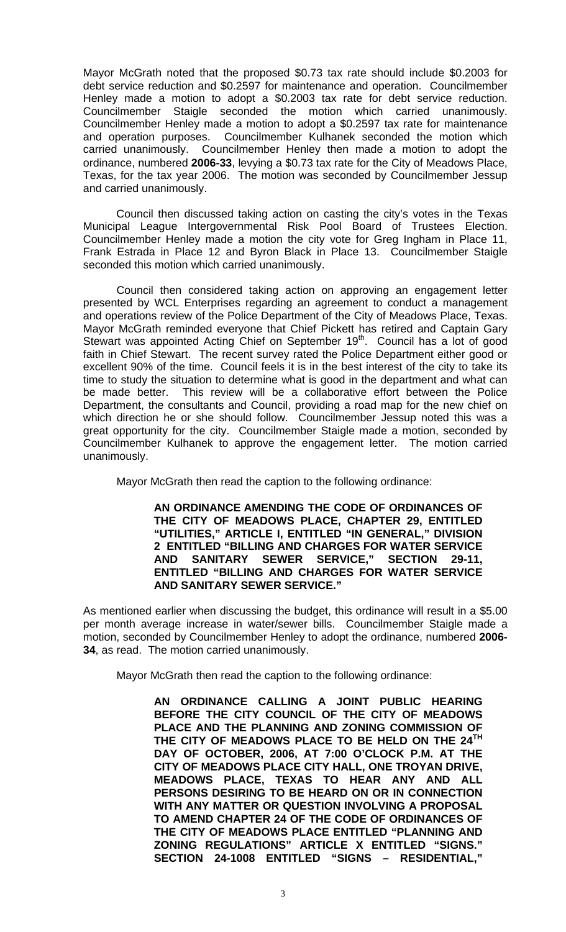Mayor McGrath noted that the proposed \$0.73 tax rate should include \$0.2003 for debt service reduction and \$0.2597 for maintenance and operation. Councilmember Henley made a motion to adopt a \$0.2003 tax rate for debt service reduction. Councilmember Staigle seconded the motion which carried unanimously. Councilmember Henley made a motion to adopt a \$0.2597 tax rate for maintenance and operation purposes. Councilmember Kulhanek seconded the motion which carried unanimously. Councilmember Henley then made a motion to adopt the ordinance, numbered **2006-33**, levying a \$0.73 tax rate for the City of Meadows Place, Texas, for the tax year 2006. The motion was seconded by Councilmember Jessup and carried unanimously.

 Council then discussed taking action on casting the city's votes in the Texas Municipal League Intergovernmental Risk Pool Board of Trustees Election. Councilmember Henley made a motion the city vote for Greg Ingham in Place 11, Frank Estrada in Place 12 and Byron Black in Place 13. Councilmember Staigle seconded this motion which carried unanimously.

 Council then considered taking action on approving an engagement letter presented by WCL Enterprises regarding an agreement to conduct a management and operations review of the Police Department of the City of Meadows Place, Texas. Mayor McGrath reminded everyone that Chief Pickett has retired and Captain Gary Stewart was appointed Acting Chief on September 19<sup>th</sup>. Council has a lot of good faith in Chief Stewart. The recent survey rated the Police Department either good or excellent 90% of the time. Council feels it is in the best interest of the city to take its time to study the situation to determine what is good in the department and what can be made better. This review will be a collaborative effort between the Police Department, the consultants and Council, providing a road map for the new chief on which direction he or she should follow. Councilmember Jessup noted this was a great opportunity for the city. Councilmember Staigle made a motion, seconded by Councilmember Kulhanek to approve the engagement letter. The motion carried unanimously.

Mayor McGrath then read the caption to the following ordinance:

**AN ORDINANCE AMENDING THE CODE OF ORDINANCES OF THE CITY OF MEADOWS PLACE, CHAPTER 29, ENTITLED "UTILITIES," ARTICLE I, ENTITLED "IN GENERAL," DIVISION 2 ENTITLED "BILLING AND CHARGES FOR WATER SERVICE AND SANITARY SEWER SERVICE," SECTION 29-11, ENTITLED "BILLING AND CHARGES FOR WATER SERVICE AND SANITARY SEWER SERVICE."** 

As mentioned earlier when discussing the budget, this ordinance will result in a \$5.00 per month average increase in water/sewer bills. Councilmember Staigle made a motion, seconded by Councilmember Henley to adopt the ordinance, numbered **2006- 34**, as read. The motion carried unanimously.

Mayor McGrath then read the caption to the following ordinance:

**AN ORDINANCE CALLING A JOINT PUBLIC HEARING BEFORE THE CITY COUNCIL OF THE CITY OF MEADOWS PLACE AND THE PLANNING AND ZONING COMMISSION OF THE CITY OF MEADOWS PLACE TO BE HELD ON THE 24TH DAY OF OCTOBER, 2006, AT 7:00 O'CLOCK P.M. AT THE CITY OF MEADOWS PLACE CITY HALL, ONE TROYAN DRIVE, MEADOWS PLACE, TEXAS TO HEAR ANY AND ALL PERSONS DESIRING TO BE HEARD ON OR IN CONNECTION WITH ANY MATTER OR QUESTION INVOLVING A PROPOSAL TO AMEND CHAPTER 24 OF THE CODE OF ORDINANCES OF THE CITY OF MEADOWS PLACE ENTITLED "PLANNING AND ZONING REGULATIONS" ARTICLE X ENTITLED "SIGNS." SECTION 24-1008 ENTITLED "SIGNS – RESIDENTIAL,"**